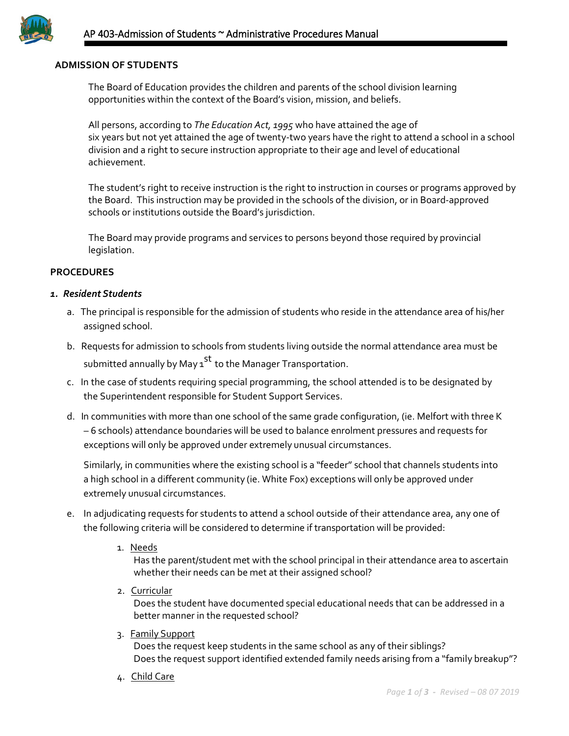

### **ADMISSION OF STUDENTS**

The Board of Education provides the children and parents of the school division learning opportunities within the context of the Board's vision, mission, and beliefs.

All persons, according to *The Education Act, 1995* who have attained the age of six years but not yet attained the age of twenty-two years have the right to attend a school in a school division and a right to secure instruction appropriate to their age and level of educational achievement.

The student's right to receive instruction is the right to instruction in courses or programs approved by the Board. This instruction may be provided in the schools of the division, or in Board-approved schools or institutions outside the Board's jurisdiction.

The Board may provide programs and services to persons beyond those required by provincial legislation.

### **PROCEDURES**

#### *1. Resident Students*

- a. The principal is responsible for the admission of students who reside in the attendance area of his/her assigned school.
- b. Requests for admission to schools from students living outside the normal attendance area must be submitted annually by May 1<sup>st</sup> to the Manager Transportation.
- c. In the case of students requiring special programming, the school attended is to be designated by the Superintendent responsible for Student Support Services.
- d. In communities with more than one school of the same grade configuration, (ie. Melfort with three K – 6 schools) attendance boundaries will be used to balance enrolment pressures and requests for exceptions will only be approved under extremely unusual circumstances.

Similarly, in communities where the existing school is a "feeder" school that channels students into a high school in a different community (ie. White Fox) exceptions will only be approved under extremely unusual circumstances.

- e. In adjudicating requests for students to attend a school outside of their attendance area, any one of the following criteria will be considered to determine if transportation will be provided:
	- 1. Needs

Has the parent/student met with the school principal in their attendance area to ascertain whether their needs can be met at their assigned school?

2. Curricular

Does the student have documented special educational needs that can be addressed in a better manner in the requested school?

3. Family Support

Does the request keep students in the same school as any of their siblings? Does the request support identified extended family needs arising from a "family breakup"?

4. Child Care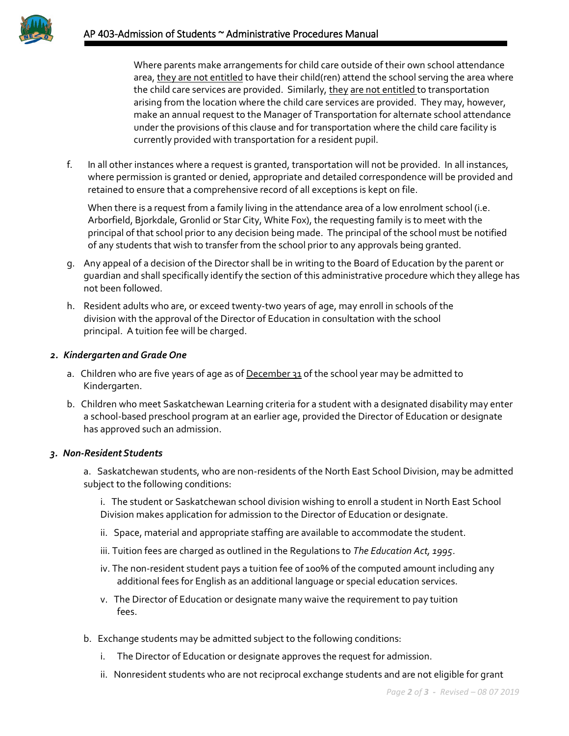Where parents make arrangements for child care outside of their own school attendance area, they are not entitled to have their child(ren) attend the school serving the area where the child care services are provided. Similarly, they are not entitled to transportation arising from the location where the child care services are provided. They may, however, make an annual request to the Manager of Transportation for alternate school attendance under the provisions of this clause and for transportation where the child care facility is currently provided with transportation for a resident pupil.

f. In all other instances where a request is granted, transportation will not be provided. In all instances, where permission is granted or denied, appropriate and detailed correspondence will be provided and retained to ensure that a comprehensive record of all exceptions is kept on file.

 When there is a request from a family living in the attendance area of a low enrolment school (i.e. Arborfield, Bjorkdale, Gronlid or Star City, White Fox), the requesting family is to meet with the principal of that school prior to any decision being made. The principal of the school must be notified of any students that wish to transfer from the school prior to any approvals being granted.

- g. Any appeal of a decision of the Director shall be in writing to the Board of Education by the parent or guardian and shall specifically identify the section of this administrative procedure which they allege has not been followed.
- h. Resident adults who are, or exceed twenty-two years of age, may enroll in schools of the division with the approval of the Director of Education in consultation with the school principal. A tuition fee will be charged.

## *2. Kindergarten and Grade One*

- a. Children who are five years of age as of December 31 of the school year may be admitted to Kindergarten.
- b. Children who meet Saskatchewan Learning criteria for a student with a designated disability may enter a school-based preschool program at an earlier age, provided the Director of Education or designate has approved such an admission.

## *3. Non-ResidentStudents*

a. Saskatchewan students, who are non-residents of the North East School Division, may be admitted subject to the following conditions:

- i. The student or Saskatchewan school division wishing to enroll a student in North East School Division makes application for admission to the Director of Education or designate.
- ii. Space, material and appropriate staffing are available to accommodate the student.
- iii. Tuition fees are charged as outlined in the Regulations to *The Education Act, 1995*.
- iv. The non-resident student pays a tuition fee of 100% of the computed amount including any additional fees for English as an additional language or special education services.
- v. The Director of Education or designate many waive the requirement to pay tuition fees.
- b. Exchange students may be admitted subject to the following conditions:
	- i. The Director of Education or designate approves the request for admission.
	- ii. Nonresident students who are not reciprocal exchange students and are not eligible for grant